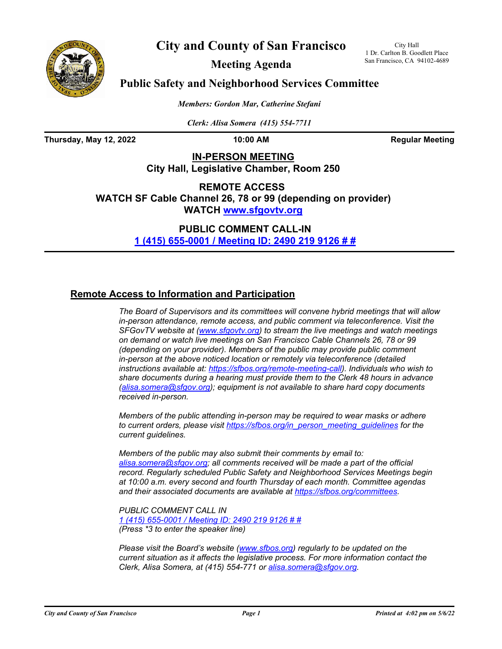



**Meeting Agenda**

City Hall 1 Dr. Carlton B. Goodlett Place San Francisco, CA 94102-4689

## **Public Safety and Neighborhood Services Committee**

*Members: Gordon Mar, Catherine Stefani*

*Clerk: Alisa Somera (415) 554-7711*

**Thursday, May 12, 2022 10:00 AM Regular Meeting**

**IN-PERSON MEETING City Hall, Legislative Chamber, Room 250**

**REMOTE ACCESS WATCH SF Cable Channel 26, 78 or 99 (depending on provider) WATCH<www.sfgovtv.org>**

> **PUBLIC COMMENT CALL-IN [1 \(415\) 655-0001 / Meeting ID:](tel:+14156550001,,24902199126#,,#) 2490 219 9126 # #**

## **Remote Access to Information and Participation**

*The Board of Supervisors and its committees will convene hybrid meetings that will allow in-person attendance, remote access, and public comment via teleconference. Visit the SFGovTV website at [\(www.sfgovtv.org\)](www.sfgovtv.org) to stream the live meetings and watch meetings on demand or watch live meetings on San Francisco Cable Channels 26, 78 or 99 (depending on your provider). Members of the public may provide public comment in-person at the above noticed location or remotely via teleconference (detailed instructions available at[: https://sfbos.org/remote-meeting-call\).](https://sfbos.org/remote-meeting-call) Individuals who wish to share documents during a hearing must provide them to the Clerk 48 hours in advance [\(alisa.somera@sfgov.org\);](mailto:alisa.somera@sfgov.org) equipment is not available to share hard copy documents received in-person.*

*Members of the public attending in-person may be required to wear masks or adhere to current orders, please visit [https://sfbos.org/in\\_person\\_meeting\\_guidelines](https://sfbos.org/in_person_meeting_guidelines) for the current guidelines.*

*Members of the public may also submit their comments by email to: [alisa.somera@sfgov.org;](mailto:alisa.somera@sfgov.org) all comments received will be made a part of the official record. Regularly scheduled Public Safety and Neighborhood Services Meetings begin at 10:00 a.m. every second and fourth Thursday of each month. Committee agendas and their associated documents are available at [https://sfbos.org/committees.](https://sfbos.org/committees)*

*PUBLIC COMMENT CALL IN [1 \(415\) 655-0001 / Meeting ID: 2490 219 9126 # #](tel:+14156550001,,24902199126#,,#) (Press \*3 to enter the speaker line)*

*Please visit the Board's website [\(www.sfbos.org\)](www.sfbos.org) regularly to be updated on the current situation as it affects the legislative process. For more information contact the Clerk, Alisa Somera, at (415) 554-771 or [alisa.somera@sfgov.org.](mailto:alisa.somera@sfgov.org)*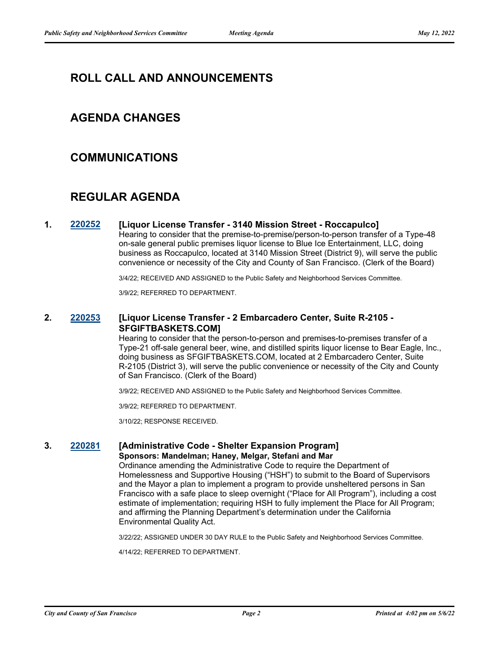# **ROLL CALL AND ANNOUNCEMENTS**

## **AGENDA CHANGES**

## **COMMUNICATIONS**

# **REGULAR AGENDA**

### **1. [220252](http://sfgov.legistar.com/gateway.aspx?m=l&id=38444) [Liquor License Transfer - 3140 Mission Street - Roccapulco]**

Hearing to consider that the premise-to-premise/person-to-person transfer of a Type-48 on-sale general public premises liquor license to Blue Ice Entertainment, LLC, doing business as Roccapulco, located at 3140 Mission Street (District 9), will serve the public convenience or necessity of the City and County of San Francisco. (Clerk of the Board)

3/4/22; RECEIVED AND ASSIGNED to the Public Safety and Neighborhood Services Committee.

3/9/22; REFERRED TO DEPARTMENT.

## **2. [220253](http://sfgov.legistar.com/gateway.aspx?m=l&id=38445) [Liquor License Transfer - 2 Embarcadero Center, Suite R-2105 - SFGIFTBASKETS.COM]**

Hearing to consider that the person-to-person and premises-to-premises transfer of a Type-21 off-sale general beer, wine, and distilled spirits liquor license to Bear Eagle, Inc., doing business as SFGIFTBASKETS.COM, located at 2 Embarcadero Center, Suite R-2105 (District 3), will serve the public convenience or necessity of the City and County of San Francisco. (Clerk of the Board)

3/9/22; RECEIVED AND ASSIGNED to the Public Safety and Neighborhood Services Committee.

3/9/22; REFERRED TO DEPARTMENT.

3/10/22; RESPONSE RECEIVED.

#### **3. [220281](http://sfgov.legistar.com/gateway.aspx?m=l&id=38473) [Administrative Code - Shelter Expansion Program] Sponsors: Mandelman; Haney, Melgar, Stefani and Mar**

Ordinance amending the Administrative Code to require the Department of Homelessness and Supportive Housing ("HSH") to submit to the Board of Supervisors and the Mayor a plan to implement a program to provide unsheltered persons in San Francisco with a safe place to sleep overnight ("Place for All Program"), including a cost estimate of implementation; requiring HSH to fully implement the Place for All Program; and affirming the Planning Department's determination under the California Environmental Quality Act.

3/22/22; ASSIGNED UNDER 30 DAY RULE to the Public Safety and Neighborhood Services Committee.

4/14/22; REFERRED TO DEPARTMENT.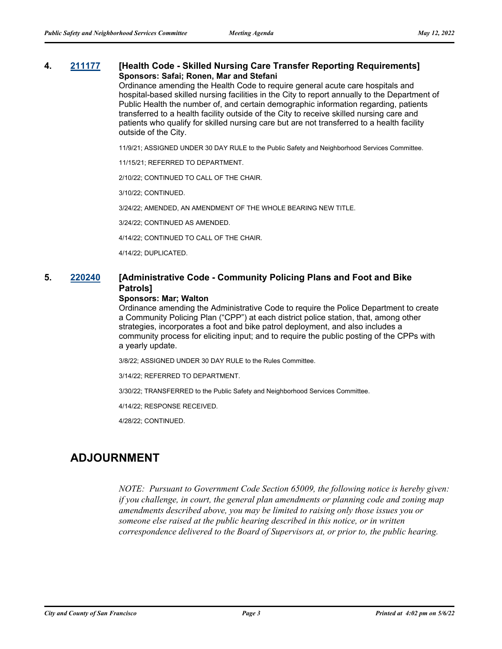## **4. [211177](http://sfgov.legistar.com/gateway.aspx?m=l&id=38047) [Health Code - Skilled Nursing Care Transfer Reporting Requirements] Sponsors: Safai; Ronen, Mar and Stefani**

Ordinance amending the Health Code to require general acute care hospitals and hospital-based skilled nursing facilities in the City to report annually to the Department of Public Health the number of, and certain demographic information regarding, patients transferred to a health facility outside of the City to receive skilled nursing care and patients who qualify for skilled nursing care but are not transferred to a health facility outside of the City.

11/9/21; ASSIGNED UNDER 30 DAY RULE to the Public Safety and Neighborhood Services Committee.

11/15/21; REFERRED TO DEPARTMENT.

2/10/22; CONTINUED TO CALL OF THE CHAIR.

3/10/22; CONTINUED.

3/24/22; AMENDED, AN AMENDMENT OF THE WHOLE BEARING NEW TITLE.

3/24/22; CONTINUED AS AMENDED.

4/14/22; CONTINUED TO CALL OF THE CHAIR.

4/14/22; DUPLICATED.

## **5. [220240](http://sfgov.legistar.com/gateway.aspx?m=l&id=38432) [Administrative Code - Community Policing Plans and Foot and Bike Patrols]**

#### **Sponsors: Mar; Walton**

Ordinance amending the Administrative Code to require the Police Department to create a Community Policing Plan ("CPP") at each district police station, that, among other strategies, incorporates a foot and bike patrol deployment, and also includes a community process for eliciting input; and to require the public posting of the CPPs with a yearly update.

3/8/22; ASSIGNED UNDER 30 DAY RULE to the Rules Committee.

3/14/22; REFERRED TO DEPARTMENT.

3/30/22; TRANSFERRED to the Public Safety and Neighborhood Services Committee.

4/14/22; RESPONSE RECEIVED.

4/28/22; CONTINUED.

# **ADJOURNMENT**

*NOTE: Pursuant to Government Code Section 65009, the following notice is hereby given: if you challenge, in court, the general plan amendments or planning code and zoning map amendments described above, you may be limited to raising only those issues you or someone else raised at the public hearing described in this notice, or in written correspondence delivered to the Board of Supervisors at, or prior to, the public hearing.*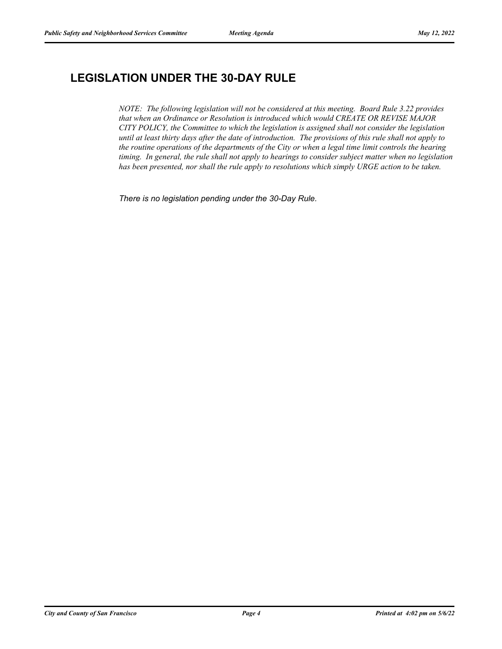# **LEGISLATION UNDER THE 30-DAY RULE**

*NOTE: The following legislation will not be considered at this meeting. Board Rule 3.22 provides that when an Ordinance or Resolution is introduced which would CREATE OR REVISE MAJOR CITY POLICY, the Committee to which the legislation is assigned shall not consider the legislation until at least thirty days after the date of introduction. The provisions of this rule shall not apply to the routine operations of the departments of the City or when a legal time limit controls the hearing timing. In general, the rule shall not apply to hearings to consider subject matter when no legislation has been presented, nor shall the rule apply to resolutions which simply URGE action to be taken.*

*There is no legislation pending under the 30-Day Rule.*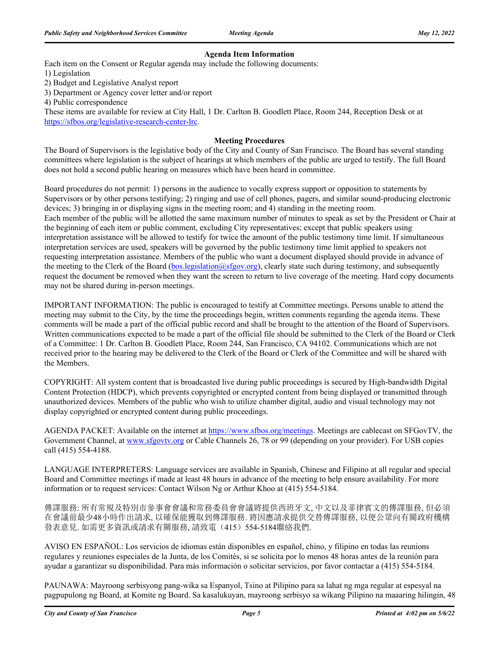## **Agenda Item Information**

Each item on the Consent or Regular agenda may include the following documents:

1) Legislation

2) Budget and Legislative Analyst report

3) Department or Agency cover letter and/or report

4) Public correspondence

These items are available for review at City Hall, 1 Dr. Carlton B. Goodlett Place, Room 244, Reception Desk or at [https://sfbos.org/legislative-research-center-lrc.](https://sfbos.org/legislative-research-center-lrc)

### **Meeting Procedures**

The Board of Supervisors is the legislative body of the City and County of San Francisco. The Board has several standing committees where legislation is the subject of hearings at which members of the public are urged to testify. The full Board does not hold a second public hearing on measures which have been heard in committee.

Board procedures do not permit: 1) persons in the audience to vocally express support or opposition to statements by Supervisors or by other persons testifying; 2) ringing and use of cell phones, pagers, and similar sound-producing electronic devices; 3) bringing in or displaying signs in the meeting room; and 4) standing in the meeting room. Each member of the public will be allotted the same maximum number of minutes to speak as set by the President or Chair at the beginning of each item or public comment, excluding City representatives; except that public speakers using interpretation assistance will be allowed to testify for twice the amount of the public testimony time limit. If simultaneous interpretation services are used, speakers will be governed by the public testimony time limit applied to speakers not requesting interpretation assistance. Members of the public who want a document displayed should provide in advance of the meeting to the Clerk of the Board [\(bos.legislation@sfgov.org\)](mailto:bos.legislation@sfgov.org), clearly state such during testimony, and subsequently request the document be removed when they want the screen to return to live coverage of the meeting. Hard copy documents may not be shared during in-person meetings.

IMPORTANT INFORMATION: The public is encouraged to testify at Committee meetings. Persons unable to attend the meeting may submit to the City, by the time the proceedings begin, written comments regarding the agenda items. These comments will be made a part of the official public record and shall be brought to the attention of the Board of Supervisors. Written communications expected to be made a part of the official file should be submitted to the Clerk of the Board or Clerk of a Committee: 1 Dr. Carlton B. Goodlett Place, Room 244, San Francisco, CA 94102. Communications which are not received prior to the hearing may be delivered to the Clerk of the Board or Clerk of the Committee and will be shared with the Members.

COPYRIGHT: All system content that is broadcasted live during public proceedings is secured by High-bandwidth Digital Content Protection (HDCP), which prevents copyrighted or encrypted content from being displayed or transmitted through unauthorized devices. Members of the public who wish to utilize chamber digital, audio and visual technology may not display copyrighted or encrypted content during public proceedings.

AGENDA PACKET: Available on the internet at [https://www.sfbos.org/meetings.](https://www.sfbos.org/meetings) Meetings are cablecast on SFGovTV, the Government Channel, at<www.sfgovtv.org> or Cable Channels 26, 78 or 99 (depending on your provider). For USB copies call (415) 554-4188.

LANGUAGE INTERPRETERS: Language services are available in Spanish, Chinese and Filipino at all regular and special Board and Committee meetings if made at least 48 hours in advance of the meeting to help ensure availability. For more information or to request services: Contact Wilson Ng or Arthur Khoo at (415) 554-5184.

傳譯服務: 所有常規及特別市參事會會議和常務委員會會議將提供西班牙文, 中文以及菲律賓文的傳譯服務, 但必須 在會議前最少48小時作出請求, 以確保能獲取到傳譯服務. 將因應請求提供交替傳譯服務, 以便公眾向有關政府機構 發表意見. 如需更多資訊或請求有關服務, 請致電(415) 554-5184聯絡我們.

AVISO EN ESPAÑOL: Los servicios de idiomas están disponibles en español, chino, y filipino en todas las reunions regulares y reuniones especiales de la Junta, de los Comités, si se solicita por lo menos 48 horas antes de la reunión para ayudar a garantizar su disponibilidad. Para más información o solicitar servicios, por favor contactar a (415) 554-5184.

PAUNAWA: Mayroong serbisyong pang-wika sa Espanyol, Tsino at Pilipino para sa lahat ng mga regular at espesyal na pagpupulong ng Board, at Komite ng Board. Sa kasalukuyan, mayroong serbisyo sa wikang Pilipino na maaaring hilingin, 48